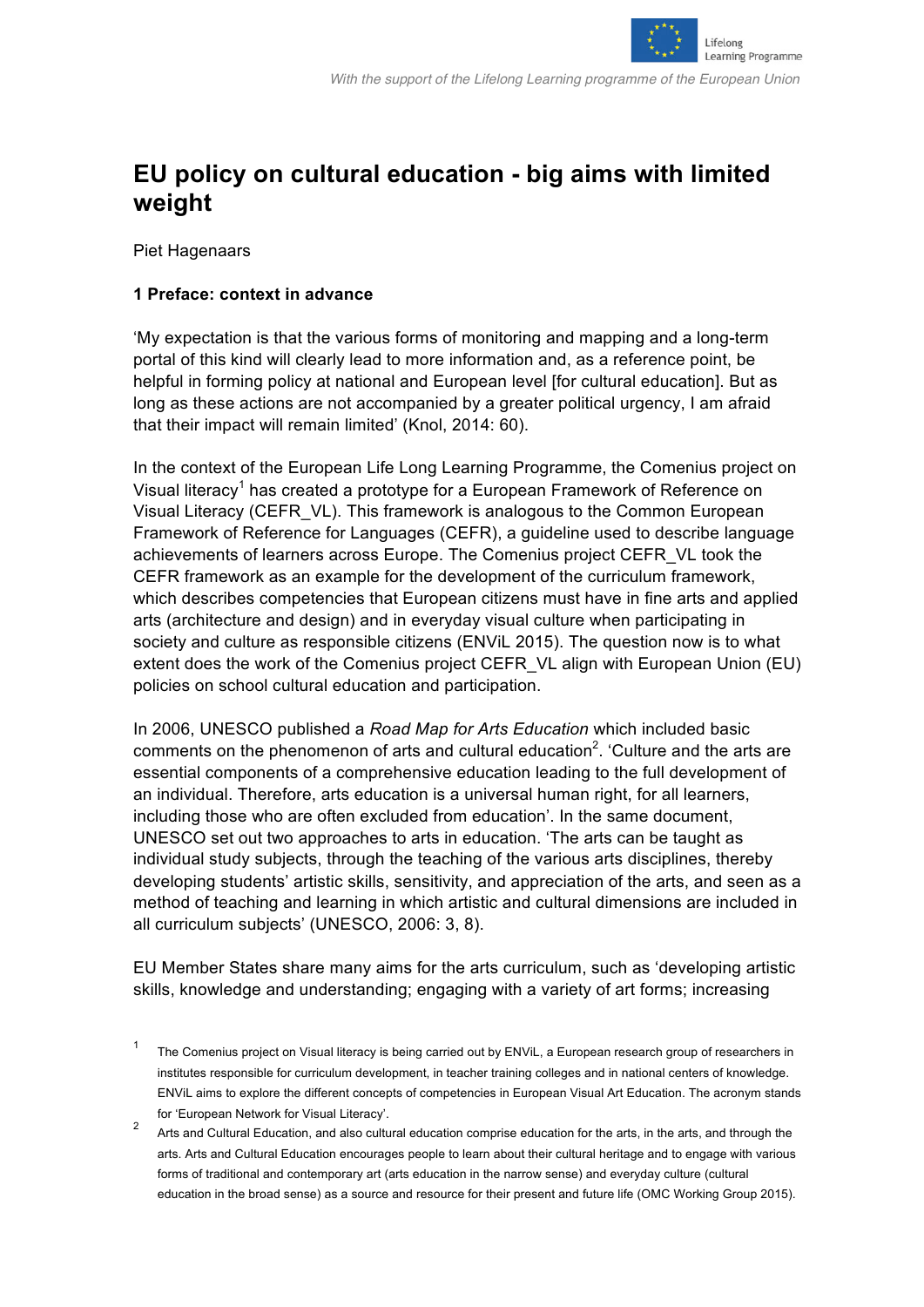

# **EU policy on cultural education - big aims with limited weight**

Piet Hagenaars

## **1 Preface: context in advance**

'My expectation is that the various forms of monitoring and mapping and a long-term portal of this kind will clearly lead to more information and, as a reference point, be helpful in forming policy at national and European level [for cultural education]. But as long as these actions are not accompanied by a greater political urgency, I am afraid that their impact will remain limited' (Knol, 2014: 60).

In the context of the European Life Long Learning Programme, the Comenius project on Visual literacy<sup>1</sup> has created a prototype for a European Framework of Reference on Visual Literacy (CEFR\_VL). This framework is analogous to the Common European Framework of Reference for Languages (CEFR), a guideline used to describe language achievements of learners across Europe. The Comenius project CEFR\_VL took the CEFR framework as an example for the development of the curriculum framework, which describes competencies that European citizens must have in fine arts and applied arts (architecture and design) and in everyday visual culture when participating in society and culture as responsible citizens (ENViL 2015). The question now is to what extent does the work of the Comenius project CEFR\_VL align with European Union (EU) policies on school cultural education and participation.

In 2006, UNESCO published a *Road Map for Arts Education* which included basic comments on the phenomenon of arts and cultural education<sup>2</sup>. 'Culture and the arts are essential components of a comprehensive education leading to the full development of an individual. Therefore, arts education is a universal human right, for all learners, including those who are often excluded from education'. In the same document, UNESCO set out two approaches to arts in education. 'The arts can be taught as individual study subjects, through the teaching of the various arts disciplines, thereby developing students' artistic skills, sensitivity, and appreciation of the arts, and seen as a method of teaching and learning in which artistic and cultural dimensions are included in all curriculum subjects' (UNESCO, 2006: 3, 8).

EU Member States share many aims for the arts curriculum, such as 'developing artistic skills, knowledge and understanding; engaging with a variety of art forms; increasing

The Comenius project on Visual literacy is being carried out by ENViL, a European research group of researchers in institutes responsible for curriculum development, in teacher training colleges and in national centers of knowledge. ENViL aims to explore the different concepts of competencies in European Visual Art Education. The acronym stands for 'European Network for Visual Literacy'.

<sup>&</sup>lt;sup>2</sup> Arts and Cultural Education, and also cultural education comprise education for the arts, in the arts, and through the arts. Arts and Cultural Education encourages people to learn about their cultural heritage and to engage with various forms of traditional and contemporary art (arts education in the narrow sense) and everyday culture (cultural education in the broad sense) as a source and resource for their present and future life (OMC Working Group 2015).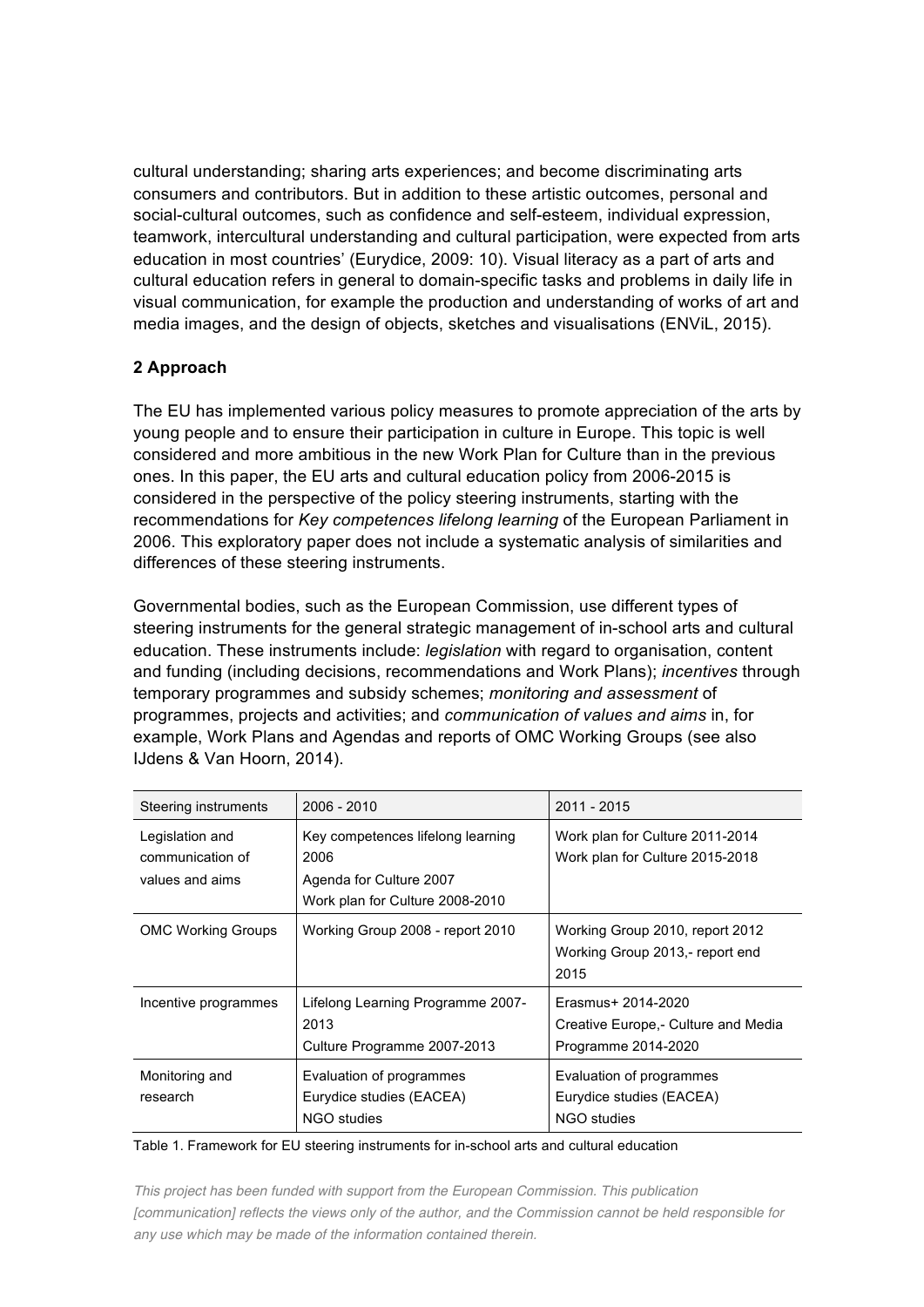cultural understanding; sharing arts experiences; and become discriminating arts consumers and contributors. But in addition to these artistic outcomes, personal and social-cultural outcomes, such as confidence and self-esteem, individual expression, teamwork, intercultural understanding and cultural participation, were expected from arts education in most countries' (Eurydice, 2009: 10). Visual literacy as a part of arts and cultural education refers in general to domain-specific tasks and problems in daily life in visual communication, for example the production and understanding of works of art and media images, and the design of objects, sketches and visualisations (ENViL, 2015).

# **2 Approach**

The EU has implemented various policy measures to promote appreciation of the arts by young people and to ensure their participation in culture in Europe. This topic is well considered and more ambitious in the new Work Plan for Culture than in the previous ones. In this paper, the EU arts and cultural education policy from 2006-2015 is considered in the perspective of the policy steering instruments, starting with the recommendations for *Key competences lifelong learning* of the European Parliament in 2006. This exploratory paper does not include a systematic analysis of similarities and differences of these steering instruments.

Governmental bodies, such as the European Commission, use different types of steering instruments for the general strategic management of in-school arts and cultural education. These instruments include: *legislation* with regard to organisation, content and funding (including decisions, recommendations and Work Plans); *incentives* through temporary programmes and subsidy schemes; *monitoring and assessment* of programmes, projects and activities; and *communication of values and aims* in, for example, Work Plans and Agendas and reports of OMC Working Groups (see also IJdens & Van Hoorn, 2014).

| Steering instruments                                   | $2006 - 2010$                                                                                           | 2011 - 2015                                                                       |
|--------------------------------------------------------|---------------------------------------------------------------------------------------------------------|-----------------------------------------------------------------------------------|
| Legislation and<br>communication of<br>values and aims | Key competences lifelong learning<br>2006<br>Agenda for Culture 2007<br>Work plan for Culture 2008-2010 | Work plan for Culture 2011-2014<br>Work plan for Culture 2015-2018                |
| <b>OMC Working Groups</b>                              | Working Group 2008 - report 2010                                                                        | Working Group 2010, report 2012<br>Working Group 2013,- report end<br>2015        |
| Incentive programmes                                   | Lifelong Learning Programme 2007-<br>2013<br>Culture Programme 2007-2013                                | Erasmus+ 2014-2020<br>Creative Europe, - Culture and Media<br>Programme 2014-2020 |
| Monitoring and<br>research                             | Evaluation of programmes<br>Eurydice studies (EACEA)<br>NGO studies                                     | Evaluation of programmes<br>Eurydice studies (EACEA)<br>NGO studies               |

#### Table 1. Framework for EU steering instruments for in-school arts and cultural education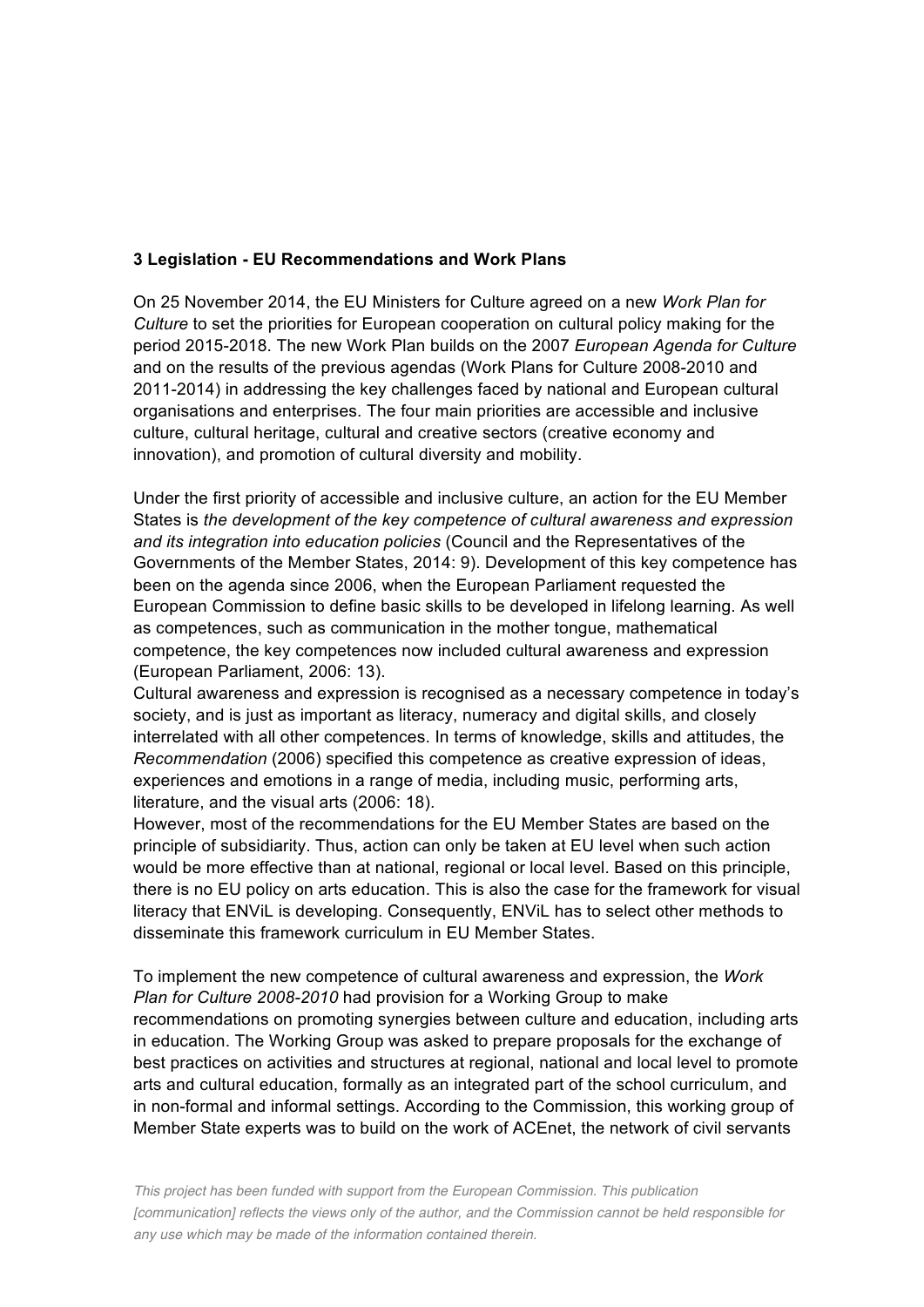## **3 Legislation - EU Recommendations and Work Plans**

On 25 November 2014, the EU Ministers for Culture agreed on a new *Work Plan for Culture* to set the priorities for European cooperation on cultural policy making for the period 2015-2018. The new Work Plan builds on the 2007 *European Agenda for Culture* and on the results of the previous agendas (Work Plans for Culture 2008-2010 and 2011-2014) in addressing the key challenges faced by national and European cultural organisations and enterprises. The four main priorities are accessible and inclusive culture, cultural heritage, cultural and creative sectors (creative economy and innovation), and promotion of cultural diversity and mobility.

Under the first priority of accessible and inclusive culture, an action for the EU Member States is *the development of the key competence of cultural awareness and expression and its integration into education policies* (Council and the Representatives of the Governments of the Member States, 2014: 9). Development of this key competence has been on the agenda since 2006, when the European Parliament requested the European Commission to define basic skills to be developed in lifelong learning. As well as competences, such as communication in the mother tongue, mathematical competence, the key competences now included cultural awareness and expression (European Parliament, 2006: 13).

Cultural awareness and expression is recognised as a necessary competence in today's society, and is just as important as literacy, numeracy and digital skills, and closely interrelated with all other competences. In terms of knowledge, skills and attitudes, the *Recommendation* (2006) specified this competence as creative expression of ideas, experiences and emotions in a range of media, including music, performing arts, literature, and the visual arts (2006: 18).

However, most of the recommendations for the EU Member States are based on the principle of subsidiarity. Thus, action can only be taken at EU level when such action would be more effective than at national, regional or local level. Based on this principle, there is no EU policy on arts education. This is also the case for the framework for visual literacy that ENViL is developing. Consequently, ENViL has to select other methods to disseminate this framework curriculum in EU Member States.

To implement the new competence of cultural awareness and expression, the *Work Plan for Culture 2008-2010* had provision for a Working Group to make recommendations on promoting synergies between culture and education, including arts in education. The Working Group was asked to prepare proposals for the exchange of best practices on activities and structures at regional, national and local level to promote arts and cultural education, formally as an integrated part of the school curriculum, and in non-formal and informal settings. According to the Commission, this working group of Member State experts was to build on the work of ACEnet, the network of civil servants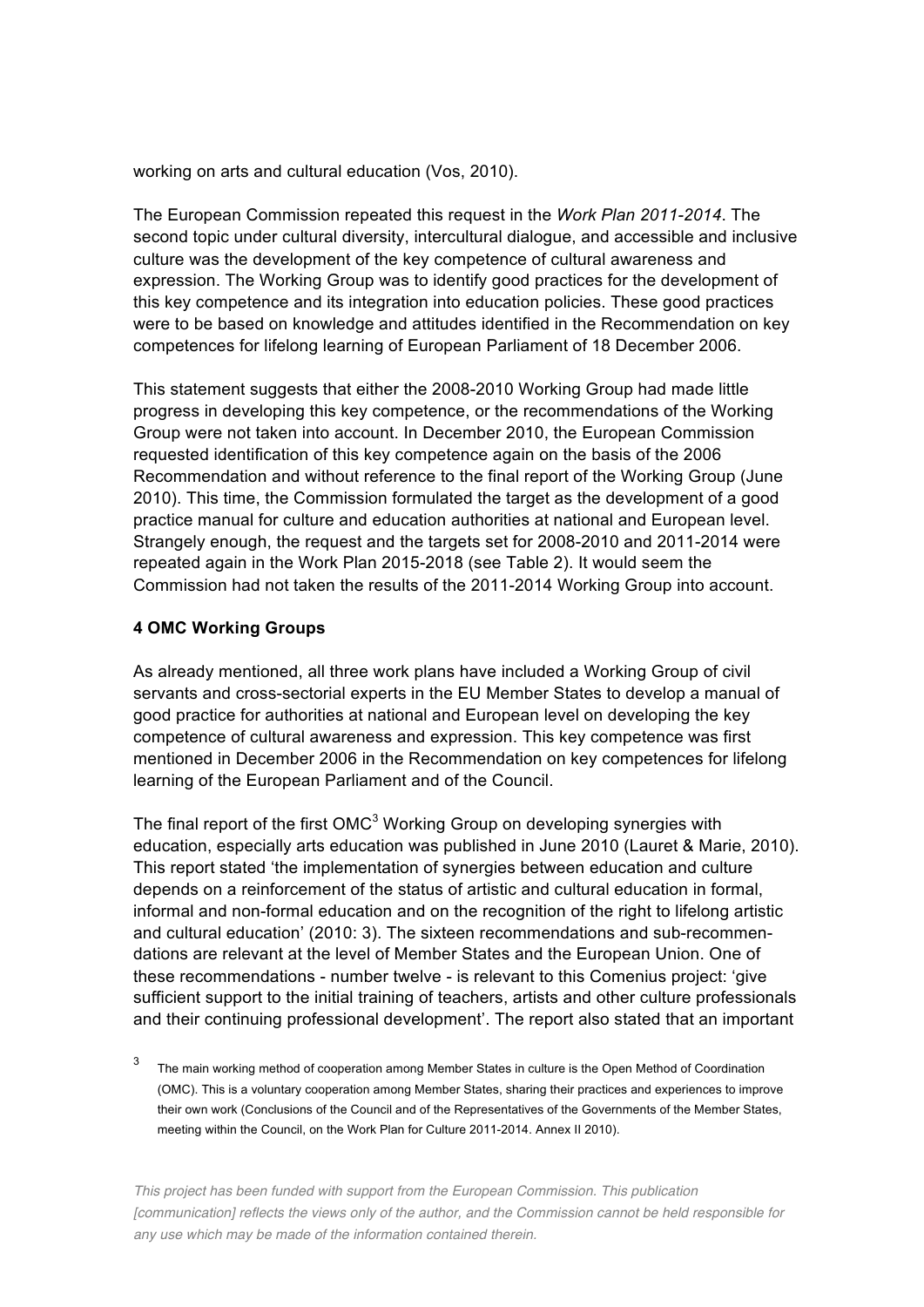working on arts and cultural education (Vos, 2010).

The European Commission repeated this request in the *Work Plan 2011-2014*. The second topic under cultural diversity, intercultural dialogue, and accessible and inclusive culture was the development of the key competence of cultural awareness and expression. The Working Group was to identify good practices for the development of this key competence and its integration into education policies. These good practices were to be based on knowledge and attitudes identified in the Recommendation on key competences for lifelong learning of European Parliament of 18 December 2006.

This statement suggests that either the 2008-2010 Working Group had made little progress in developing this key competence, or the recommendations of the Working Group were not taken into account. In December 2010, the European Commission requested identification of this key competence again on the basis of the 2006 Recommendation and without reference to the final report of the Working Group (June 2010). This time, the Commission formulated the target as the development of a good practice manual for culture and education authorities at national and European level. Strangely enough, the request and the targets set for 2008-2010 and 2011-2014 were repeated again in the Work Plan 2015-2018 (see Table 2). It would seem the Commission had not taken the results of the 2011-2014 Working Group into account.

## **4 OMC Working Groups**

As already mentioned, all three work plans have included a Working Group of civil servants and cross-sectorial experts in the EU Member States to develop a manual of good practice for authorities at national and European level on developing the key competence of cultural awareness and expression. This key competence was first mentioned in December 2006 in the Recommendation on key competences for lifelong learning of the European Parliament and of the Council.

The final report of the first OMC<sup>3</sup> Working Group on developing synergies with education, especially arts education was published in June 2010 (Lauret & Marie, 2010). This report stated 'the implementation of synergies between education and culture depends on a reinforcement of the status of artistic and cultural education in formal, informal and non-formal education and on the recognition of the right to lifelong artistic and cultural education' (2010: 3). The sixteen recommendations and sub-recommendations are relevant at the level of Member States and the European Union. One of these recommendations - number twelve - is relevant to this Comenius project: 'give sufficient support to the initial training of teachers, artists and other culture professionals and their continuing professional development'. The report also stated that an important

<sup>3</sup> The main working method of cooperation among Member States in culture is the Open Method of Coordination (OMC). This is a voluntary cooperation among Member States, sharing their practices and experiences to improve their own work (Conclusions of the Council and of the Representatives of the Governments of the Member States, meeting within the Council, on the Work Plan for Culture 2011-2014. Annex II 2010).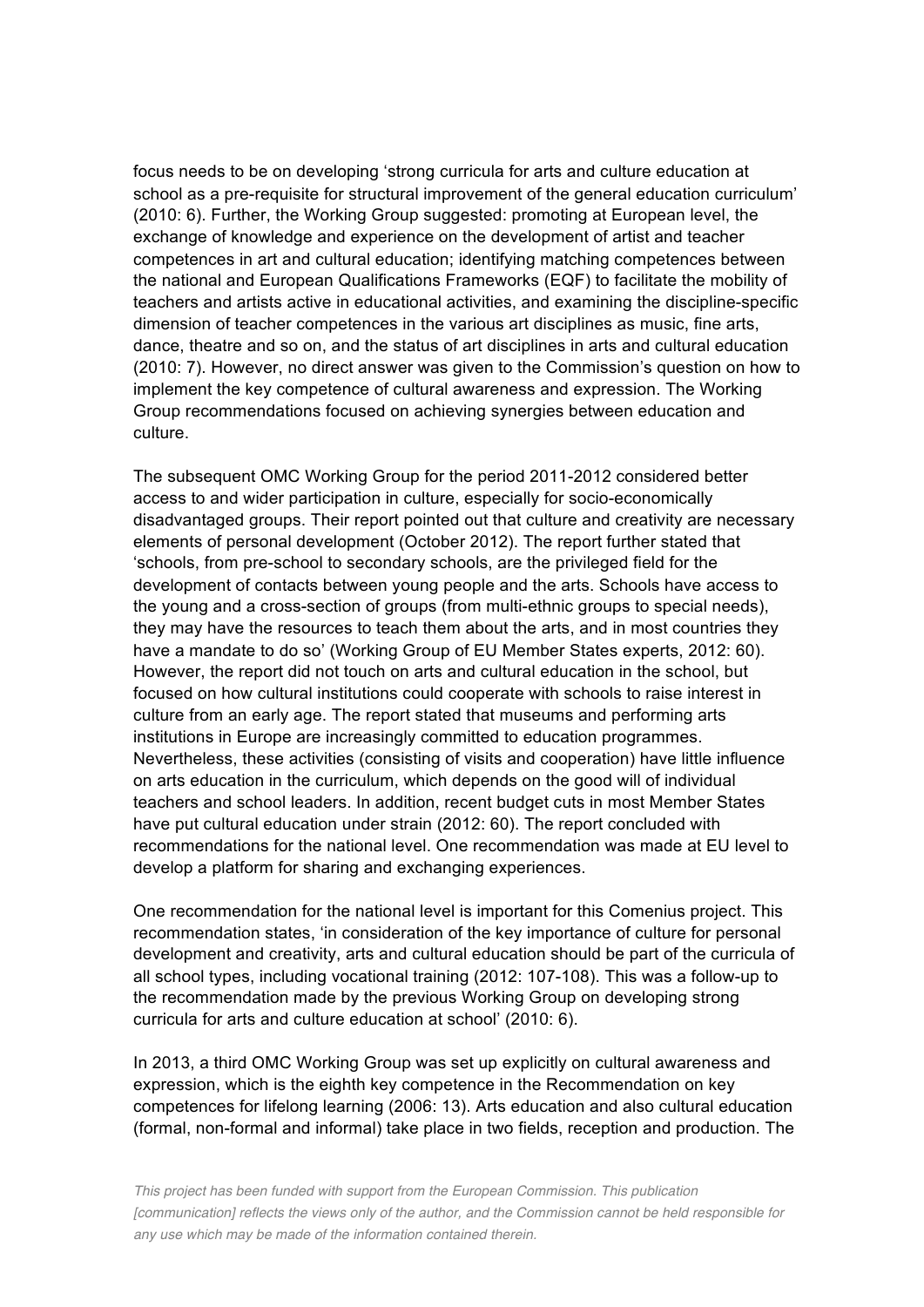focus needs to be on developing 'strong curricula for arts and culture education at school as a pre-requisite for structural improvement of the general education curriculum' (2010: 6). Further, the Working Group suggested: promoting at European level, the exchange of knowledge and experience on the development of artist and teacher competences in art and cultural education; identifying matching competences between the national and European Qualifications Frameworks (EQF) to facilitate the mobility of teachers and artists active in educational activities, and examining the discipline-specific dimension of teacher competences in the various art disciplines as music, fine arts, dance, theatre and so on, and the status of art disciplines in arts and cultural education (2010: 7). However, no direct answer was given to the Commission's question on how to implement the key competence of cultural awareness and expression. The Working Group recommendations focused on achieving synergies between education and culture.

The subsequent OMC Working Group for the period 2011-2012 considered better access to and wider participation in culture, especially for socio-economically disadvantaged groups. Their report pointed out that culture and creativity are necessary elements of personal development (October 2012). The report further stated that 'schools, from pre-school to secondary schools, are the privileged field for the development of contacts between young people and the arts. Schools have access to the young and a cross-section of groups (from multi-ethnic groups to special needs), they may have the resources to teach them about the arts, and in most countries they have a mandate to do so' (Working Group of EU Member States experts, 2012: 60). However, the report did not touch on arts and cultural education in the school, but focused on how cultural institutions could cooperate with schools to raise interest in culture from an early age. The report stated that museums and performing arts institutions in Europe are increasingly committed to education programmes. Nevertheless, these activities (consisting of visits and cooperation) have little influence on arts education in the curriculum, which depends on the good will of individual teachers and school leaders. In addition, recent budget cuts in most Member States have put cultural education under strain (2012: 60). The report concluded with recommendations for the national level. One recommendation was made at EU level to develop a platform for sharing and exchanging experiences.

One recommendation for the national level is important for this Comenius project. This recommendation states, 'in consideration of the key importance of culture for personal development and creativity, arts and cultural education should be part of the curricula of all school types, including vocational training (2012: 107-108). This was a follow-up to the recommendation made by the previous Working Group on developing strong curricula for arts and culture education at school' (2010: 6).

In 2013, a third OMC Working Group was set up explicitly on cultural awareness and expression, which is the eighth key competence in the Recommendation on key competences for lifelong learning (2006: 13). Arts education and also cultural education (formal, non-formal and informal) take place in two fields, reception and production. The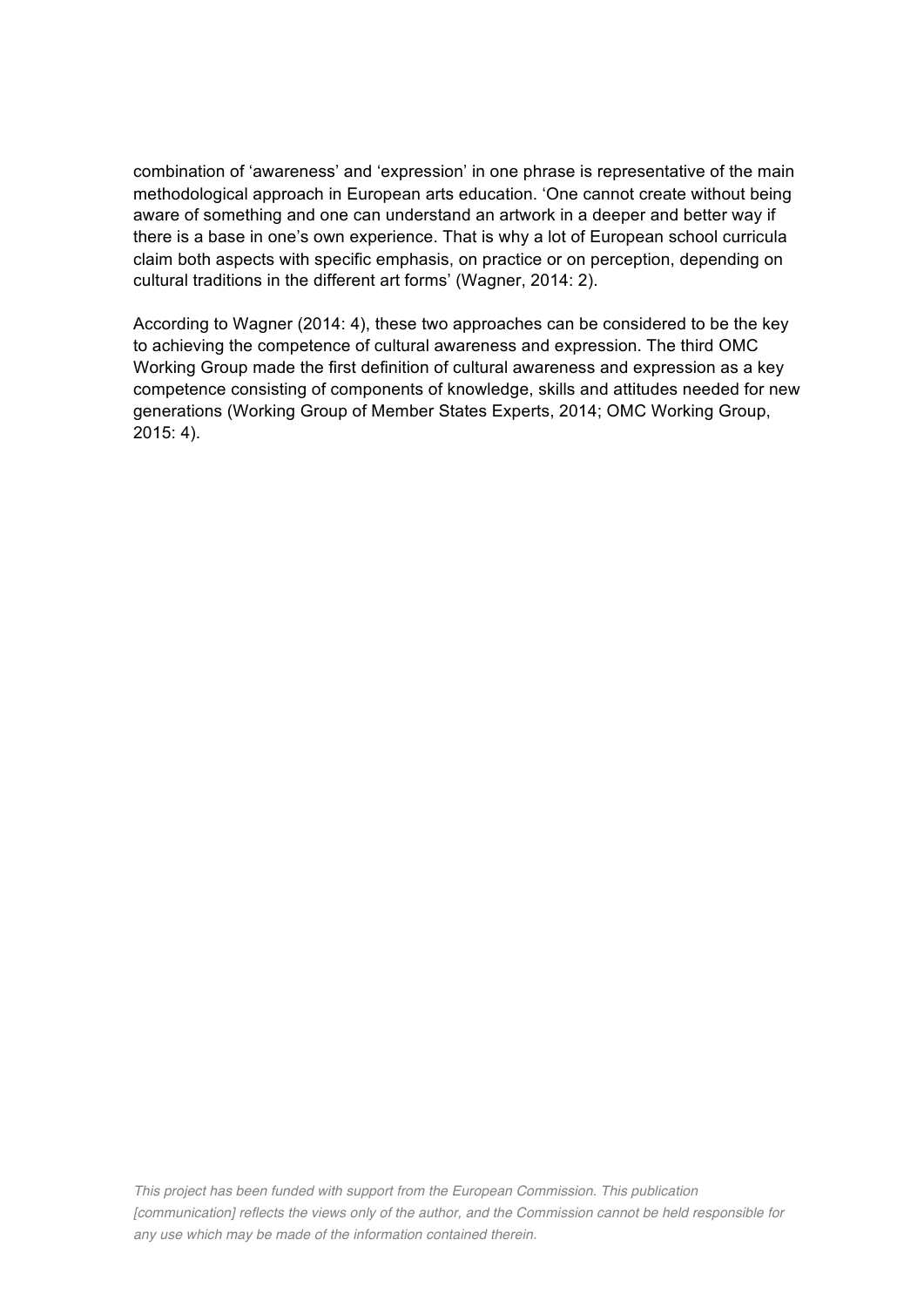combination of 'awareness' and 'expression' in one phrase is representative of the main methodological approach in European arts education. 'One cannot create without being aware of something and one can understand an artwork in a deeper and better way if there is a base in one's own experience. That is why a lot of European school curricula claim both aspects with specific emphasis, on practice or on perception, depending on cultural traditions in the different art forms' (Wagner, 2014: 2).

According to Wagner (2014: 4), these two approaches can be considered to be the key to achieving the competence of cultural awareness and expression. The third OMC Working Group made the first definition of cultural awareness and expression as a key competence consisting of components of knowledge, skills and attitudes needed for new generations (Working Group of Member States Experts, 2014; OMC Working Group, 2015: 4).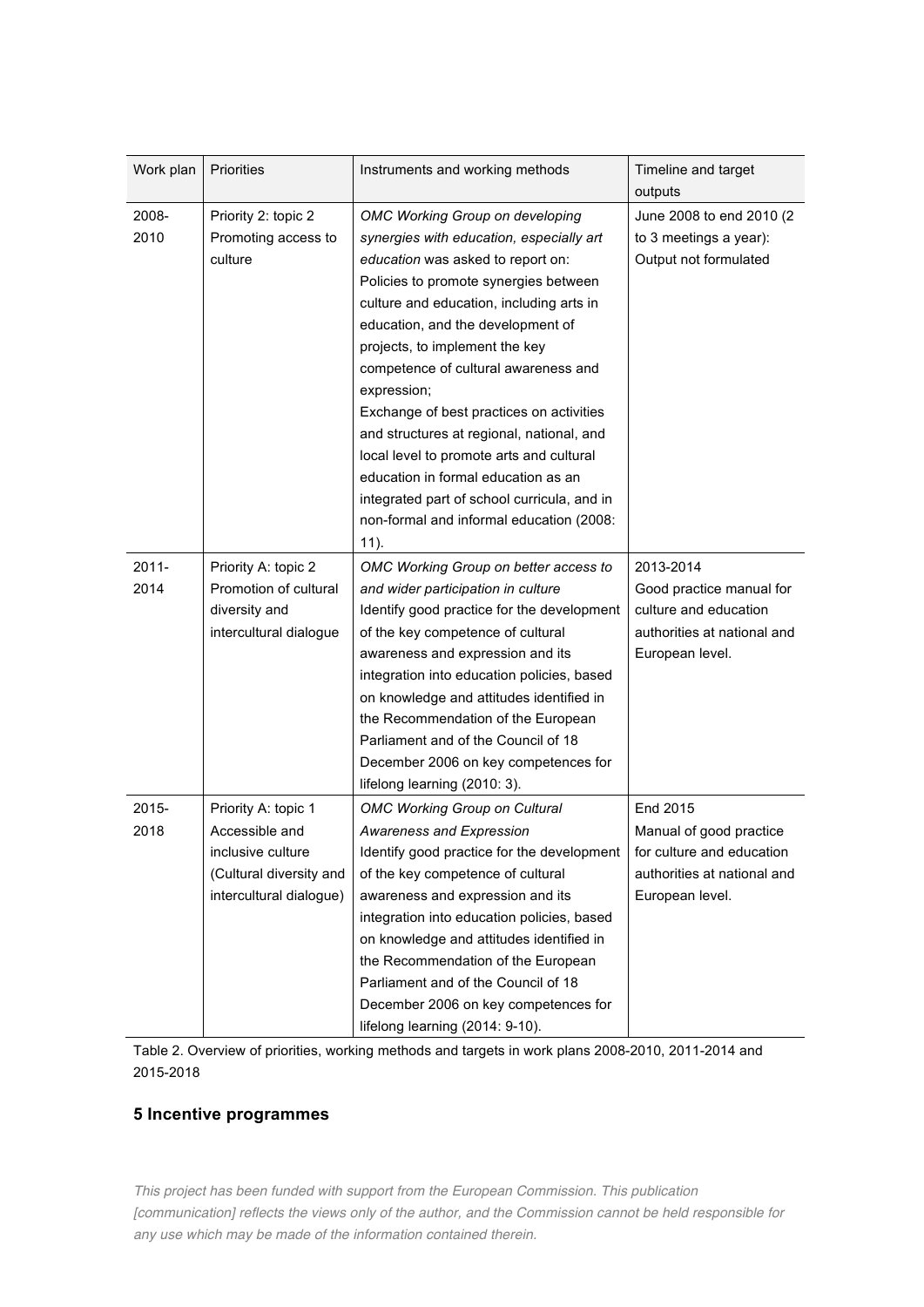| Work plan     | <b>Priorities</b>                          | Instruments and working methods                                                       | Timeline and target<br>outputs                      |
|---------------|--------------------------------------------|---------------------------------------------------------------------------------------|-----------------------------------------------------|
| 2008-<br>2010 | Priority 2: topic 2<br>Promoting access to | OMC Working Group on developing<br>synergies with education, especially art           | June 2008 to end 2010 (2)<br>to 3 meetings a year): |
|               | culture                                    | education was asked to report on:<br>Policies to promote synergies between            | Output not formulated                               |
|               |                                            | culture and education, including arts in<br>education, and the development of         |                                                     |
|               |                                            | projects, to implement the key<br>competence of cultural awareness and                |                                                     |
|               |                                            | expression;                                                                           |                                                     |
|               |                                            | Exchange of best practices on activities<br>and structures at regional, national, and |                                                     |
|               |                                            | local level to promote arts and cultural                                              |                                                     |
|               |                                            | education in formal education as an<br>integrated part of school curricula, and in    |                                                     |
|               |                                            | non-formal and informal education (2008:                                              |                                                     |
|               |                                            | $11$ ).                                                                               |                                                     |
| $2011 -$      | Priority A: topic 2                        | OMC Working Group on better access to                                                 | 2013-2014                                           |
| 2014          | Promotion of cultural                      | and wider participation in culture                                                    | Good practice manual for                            |
|               | diversity and                              | Identify good practice for the development                                            | culture and education                               |
|               | intercultural dialogue                     | of the key competence of cultural                                                     | authorities at national and                         |
|               |                                            | awareness and expression and its                                                      | European level.                                     |
|               |                                            | integration into education policies, based                                            |                                                     |
|               |                                            | on knowledge and attitudes identified in                                              |                                                     |
|               |                                            | the Recommendation of the European<br>Parliament and of the Council of 18             |                                                     |
|               |                                            | December 2006 on key competences for                                                  |                                                     |
|               |                                            | lifelong learning (2010: 3).                                                          |                                                     |
| $2015 -$      | Priority A: topic 1                        | <b>OMC Working Group on Cultural</b>                                                  | End 2015                                            |
| 2018          | Accessible and                             | Awareness and Expression                                                              | Manual of good practice                             |
|               | inclusive culture                          | Identify good practice for the development                                            | for culture and education                           |
|               | (Cultural diversity and                    | of the key competence of cultural                                                     | authorities at national and                         |
|               | intercultural dialogue)                    | awareness and expression and its                                                      | European level.                                     |
|               |                                            | integration into education policies, based                                            |                                                     |
|               |                                            | on knowledge and attitudes identified in                                              |                                                     |
|               |                                            | the Recommendation of the European                                                    |                                                     |
|               |                                            | Parliament and of the Council of 18                                                   |                                                     |
|               |                                            | December 2006 on key competences for                                                  |                                                     |
|               |                                            | lifelong learning (2014: 9-10).                                                       |                                                     |

Table 2. Overview of priorities, working methods and targets in work plans 2008-2010, 2011-2014 and 2015-2018

#### **5 Incentive programmes**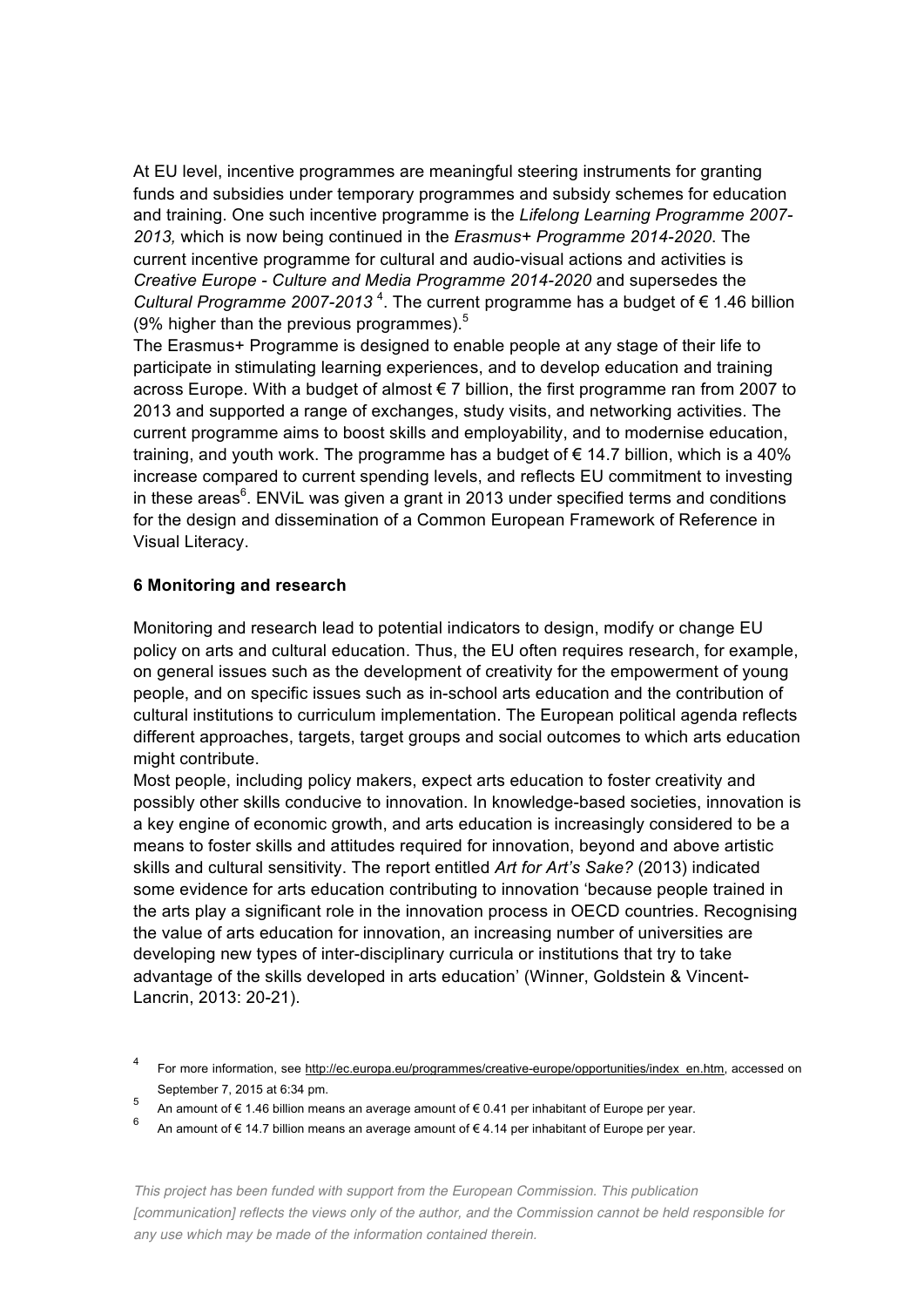At EU level, incentive programmes are meaningful steering instruments for granting funds and subsidies under temporary programmes and subsidy schemes for education and training. One such incentive programme is the *Lifelong Learning Programme 2007- 2013,* which is now being continued in the *Erasmus+ Programme 2014-2020*. The current incentive programme for cultural and audio-visual actions and activities is *Creative Europe - Culture and Media Programme 2014-2020* and supersedes the Cultural Programme 2007-2013<sup>4</sup>. The current programme has a budget of € 1.46 billion (9% higher than the previous programmes). 5

The Erasmus+ Programme is designed to enable people at any stage of their life to participate in stimulating learning experiences, and to develop education and training across Europe. With a budget of almost € 7 billion, the first programme ran from 2007 to 2013 and supported a range of exchanges, study visits, and networking activities. The current programme aims to boost skills and employability, and to modernise education, training, and youth work. The programme has a budget of  $\epsilon$  14.7 billion, which is a 40% increase compared to current spending levels, and reflects EU commitment to investing in these areas $^6$ . ENViL was given a grant in 2013 under specified terms and conditions for the design and dissemination of a Common European Framework of Reference in Visual Literacy.

## **6 Monitoring and research**

Monitoring and research lead to potential indicators to design, modify or change EU policy on arts and cultural education. Thus, the EU often requires research, for example, on general issues such as the development of creativity for the empowerment of young people, and on specific issues such as in-school arts education and the contribution of cultural institutions to curriculum implementation. The European political agenda reflects different approaches, targets, target groups and social outcomes to which arts education might contribute.

Most people, including policy makers, expect arts education to foster creativity and possibly other skills conducive to innovation. In knowledge-based societies, innovation is a key engine of economic growth, and arts education is increasingly considered to be a means to foster skills and attitudes required for innovation, beyond and above artistic skills and cultural sensitivity. The report entitled *Art for Art's Sake?* (2013) indicated some evidence for arts education contributing to innovation 'because people trained in the arts play a significant role in the innovation process in OECD countries. Recognising the value of arts education for innovation, an increasing number of universities are developing new types of inter-disciplinary curricula or institutions that try to take advantage of the skills developed in arts education' (Winner, Goldstein & Vincent-Lancrin, 2013: 20-21).

<sup>4</sup> For more information, see http://ec.europa.eu/programmes/creative-europe/opportunities/index\_en.htm, accessed on September 7, 2015 at 6:34 pm.

<sup>5</sup> An amount of € 1.46 billion means an average amount of € 0.41 per inhabitant of Europe per year.

<sup>6</sup> An amount of € 14.7 billion means an average amount of € 4.14 per inhabitant of Europe per year.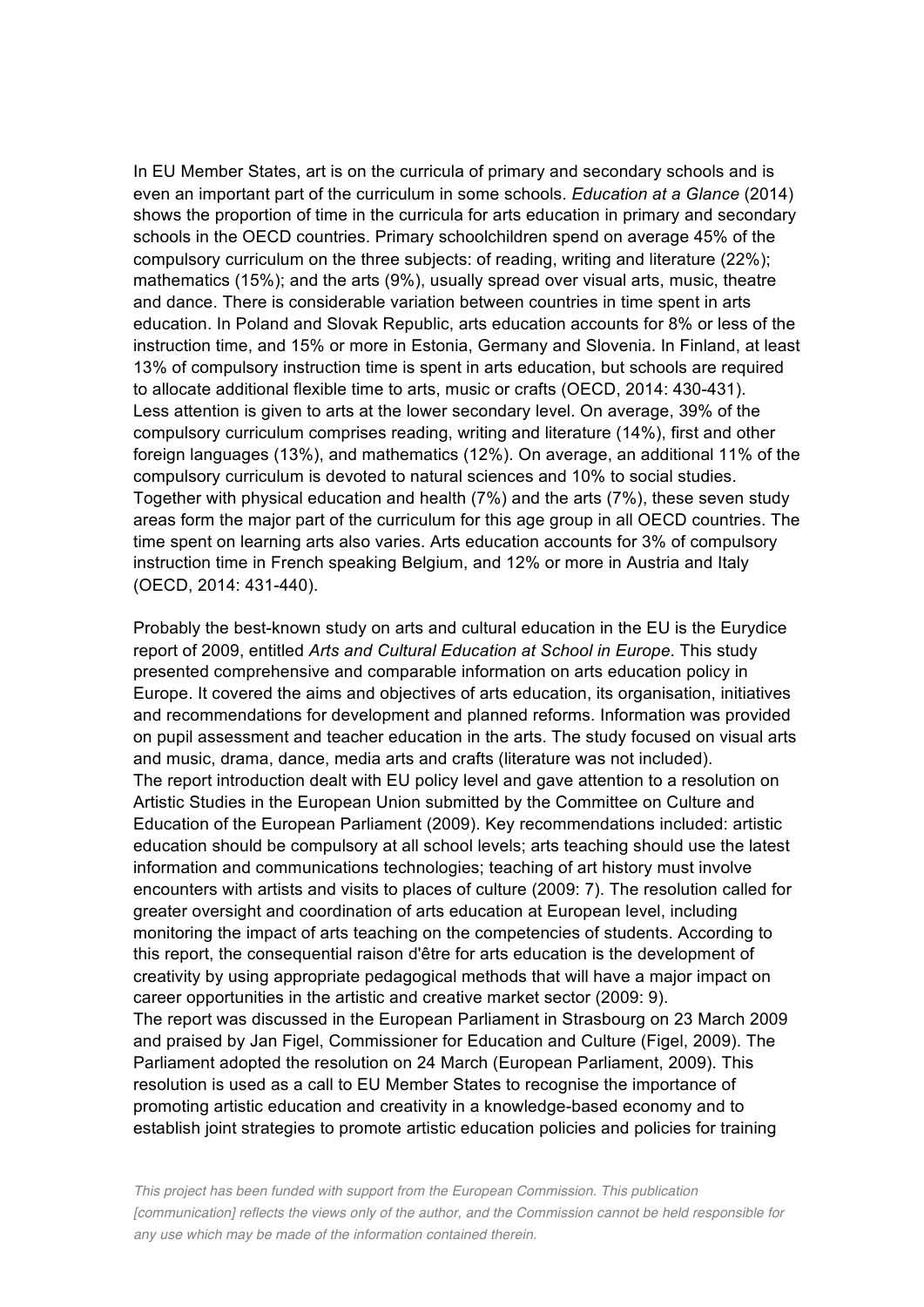In EU Member States, art is on the curricula of primary and secondary schools and is even an important part of the curriculum in some schools. *Education at a Glance* (2014) shows the proportion of time in the curricula for arts education in primary and secondary schools in the OECD countries. Primary schoolchildren spend on average 45% of the compulsory curriculum on the three subjects: of reading, writing and literature (22%); mathematics (15%); and the arts (9%), usually spread over visual arts, music, theatre and dance. There is considerable variation between countries in time spent in arts education. In Poland and Slovak Republic, arts education accounts for 8% or less of the instruction time, and 15% or more in Estonia, Germany and Slovenia. In Finland, at least 13% of compulsory instruction time is spent in arts education, but schools are required to allocate additional flexible time to arts, music or crafts (OECD, 2014: 430-431). Less attention is given to arts at the lower secondary level. On average, 39% of the compulsory curriculum comprises reading, writing and literature (14%), first and other foreign languages (13%), and mathematics (12%). On average, an additional 11% of the compulsory curriculum is devoted to natural sciences and 10% to social studies. Together with physical education and health (7%) and the arts (7%), these seven study areas form the major part of the curriculum for this age group in all OECD countries. The time spent on learning arts also varies. Arts education accounts for 3% of compulsory instruction time in French speaking Belgium, and 12% or more in Austria and Italy (OECD, 2014: 431-440).

Probably the best-known study on arts and cultural education in the EU is the Eurydice report of 2009, entitled *Arts and Cultural Education at School in Europe*. This study presented comprehensive and comparable information on arts education policy in Europe. It covered the aims and objectives of arts education, its organisation, initiatives and recommendations for development and planned reforms. Information was provided on pupil assessment and teacher education in the arts. The study focused on visual arts and music, drama, dance, media arts and crafts (literature was not included). The report introduction dealt with EU policy level and gave attention to a resolution on Artistic Studies in the European Union submitted by the Committee on Culture and Education of the European Parliament (2009). Key recommendations included: artistic education should be compulsory at all school levels; arts teaching should use the latest information and communications technologies; teaching of art history must involve encounters with artists and visits to places of culture (2009: 7). The resolution called for greater oversight and coordination of arts education at European level, including monitoring the impact of arts teaching on the competencies of students. According to this report, the consequential raison d'être for arts education is the development of creativity by using appropriate pedagogical methods that will have a major impact on career opportunities in the artistic and creative market sector (2009: 9). The report was discussed in the European Parliament in Strasbourg on 23 March 2009 and praised by Jan Figel, Commissioner for Education and Culture (Figel, 2009). The Parliament adopted the resolution on 24 March (European Parliament, 2009). This resolution is used as a call to EU Member States to recognise the importance of promoting artistic education and creativity in a knowledge-based economy and to establish joint strategies to promote artistic education policies and policies for training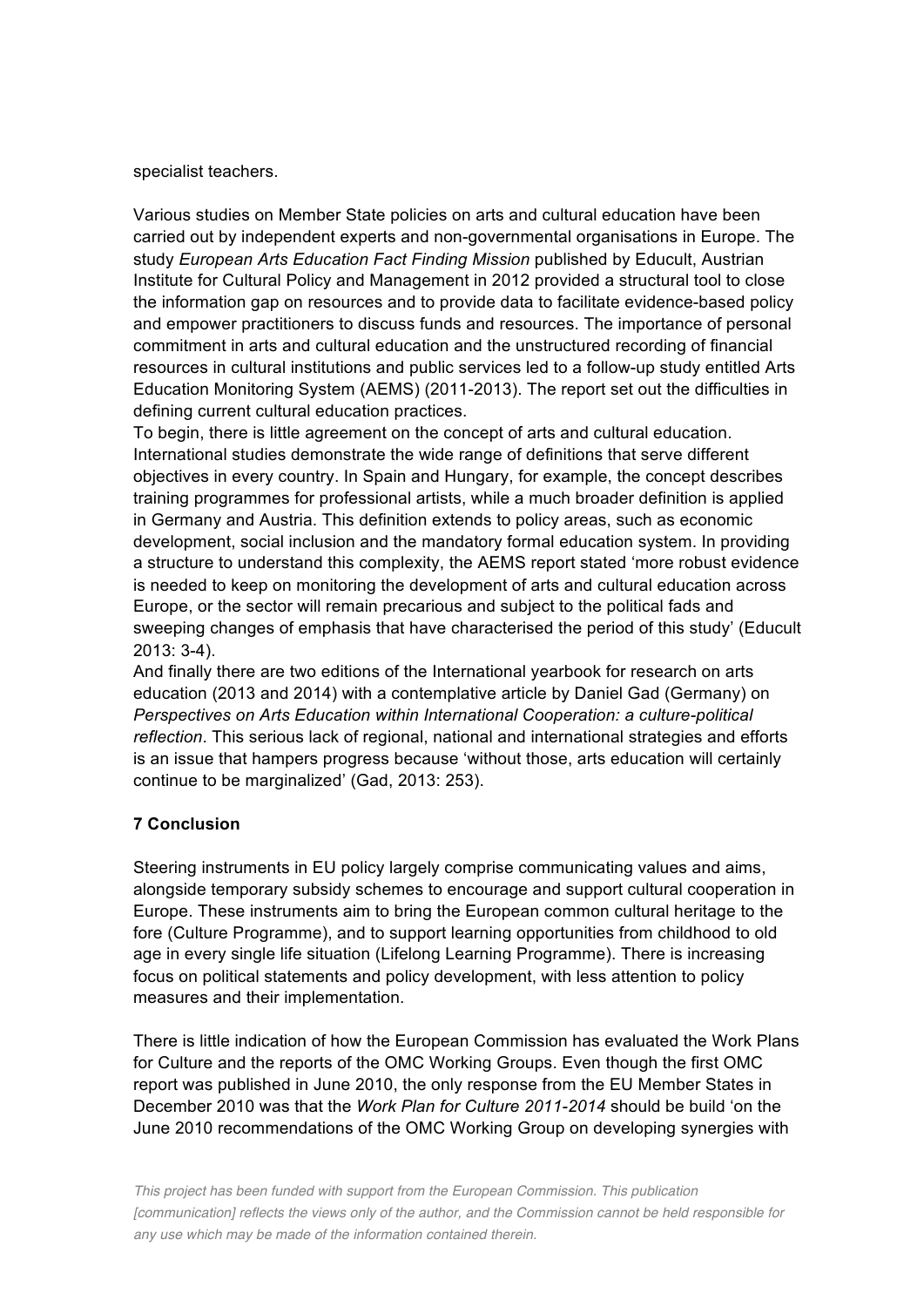#### specialist teachers.

Various studies on Member State policies on arts and cultural education have been carried out by independent experts and non-governmental organisations in Europe. The study *European Arts Education Fact Finding Mission* published by Educult, Austrian Institute for Cultural Policy and Management in 2012 provided a structural tool to close the information gap on resources and to provide data to facilitate evidence-based policy and empower practitioners to discuss funds and resources. The importance of personal commitment in arts and cultural education and the unstructured recording of financial resources in cultural institutions and public services led to a follow-up study entitled Arts Education Monitoring System (AEMS) (2011-2013). The report set out the difficulties in defining current cultural education practices.

To begin, there is little agreement on the concept of arts and cultural education. International studies demonstrate the wide range of definitions that serve different objectives in every country. In Spain and Hungary, for example, the concept describes training programmes for professional artists, while a much broader definition is applied in Germany and Austria. This definition extends to policy areas, such as economic development, social inclusion and the mandatory formal education system. In providing a structure to understand this complexity, the AEMS report stated 'more robust evidence is needed to keep on monitoring the development of arts and cultural education across Europe, or the sector will remain precarious and subject to the political fads and sweeping changes of emphasis that have characterised the period of this study' (Educult 2013: 3-4).

And finally there are two editions of the International yearbook for research on arts education (2013 and 2014) with a contemplative article by Daniel Gad (Germany) on *Perspectives on Arts Education within International Cooperation: a culture-political reflection*. This serious lack of regional, national and international strategies and efforts is an issue that hampers progress because 'without those, arts education will certainly continue to be marginalized' (Gad, 2013: 253).

## **7 Conclusion**

Steering instruments in EU policy largely comprise communicating values and aims, alongside temporary subsidy schemes to encourage and support cultural cooperation in Europe. These instruments aim to bring the European common cultural heritage to the fore (Culture Programme), and to support learning opportunities from childhood to old age in every single life situation (Lifelong Learning Programme). There is increasing focus on political statements and policy development, with less attention to policy measures and their implementation.

There is little indication of how the European Commission has evaluated the Work Plans for Culture and the reports of the OMC Working Groups. Even though the first OMC report was published in June 2010, the only response from the EU Member States in December 2010 was that the *Work Plan for Culture 2011-2014* should be build 'on the June 2010 recommendations of the OMC Working Group on developing synergies with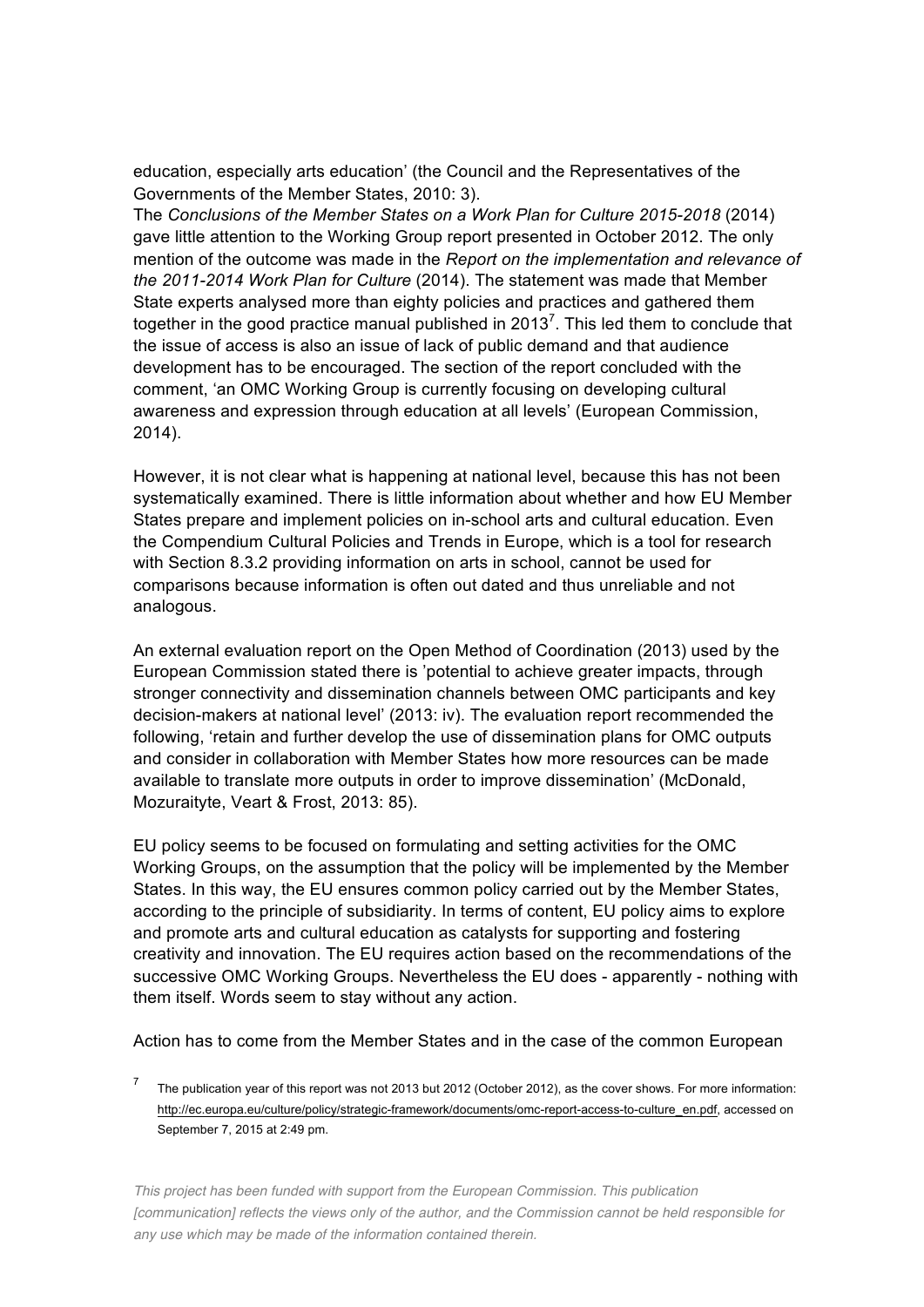education, especially arts education' (the Council and the Representatives of the Governments of the Member States, 2010: 3).

The *Conclusions of the Member States on a Work Plan for Culture 2015-2018* (2014) gave little attention to the Working Group report presented in October 2012. The only mention of the outcome was made in the *Report on the implementation and relevance of the 2011-2014 Work Plan for Culture* (2014). The statement was made that Member State experts analysed more than eighty policies and practices and gathered them together in the good practice manual published in 2013<sup>7</sup>. This led them to conclude that the issue of access is also an issue of lack of public demand and that audience development has to be encouraged. The section of the report concluded with the comment, 'an OMC Working Group is currently focusing on developing cultural awareness and expression through education at all levels' (European Commission, 2014).

However, it is not clear what is happening at national level, because this has not been systematically examined. There is little information about whether and how EU Member States prepare and implement policies on in-school arts and cultural education. Even the Compendium Cultural Policies and Trends in Europe, which is a tool for research with Section 8.3.2 providing information on arts in school, cannot be used for comparisons because information is often out dated and thus unreliable and not analogous.

An external evaluation report on the Open Method of Coordination (2013) used by the European Commission stated there is 'potential to achieve greater impacts, through stronger connectivity and dissemination channels between OMC participants and key decision-makers at national level' (2013: iv). The evaluation report recommended the following, 'retain and further develop the use of dissemination plans for OMC outputs and consider in collaboration with Member States how more resources can be made available to translate more outputs in order to improve dissemination' (McDonald, Mozuraityte, Veart & Frost, 2013: 85).

EU policy seems to be focused on formulating and setting activities for the OMC Working Groups, on the assumption that the policy will be implemented by the Member States. In this way, the EU ensures common policy carried out by the Member States, according to the principle of subsidiarity. In terms of content, EU policy aims to explore and promote arts and cultural education as catalysts for supporting and fostering creativity and innovation. The EU requires action based on the recommendations of the successive OMC Working Groups. Nevertheless the EU does - apparently - nothing with them itself. Words seem to stay without any action.

Action has to come from the Member States and in the case of the common European

The publication year of this report was not 2013 but 2012 (October 2012), as the cover shows. For more information: http://ec.europa.eu/culture/policy/strategic-framework/documents/omc-report-access-to-culture\_en.pdf, accessed on September 7, 2015 at 2:49 pm.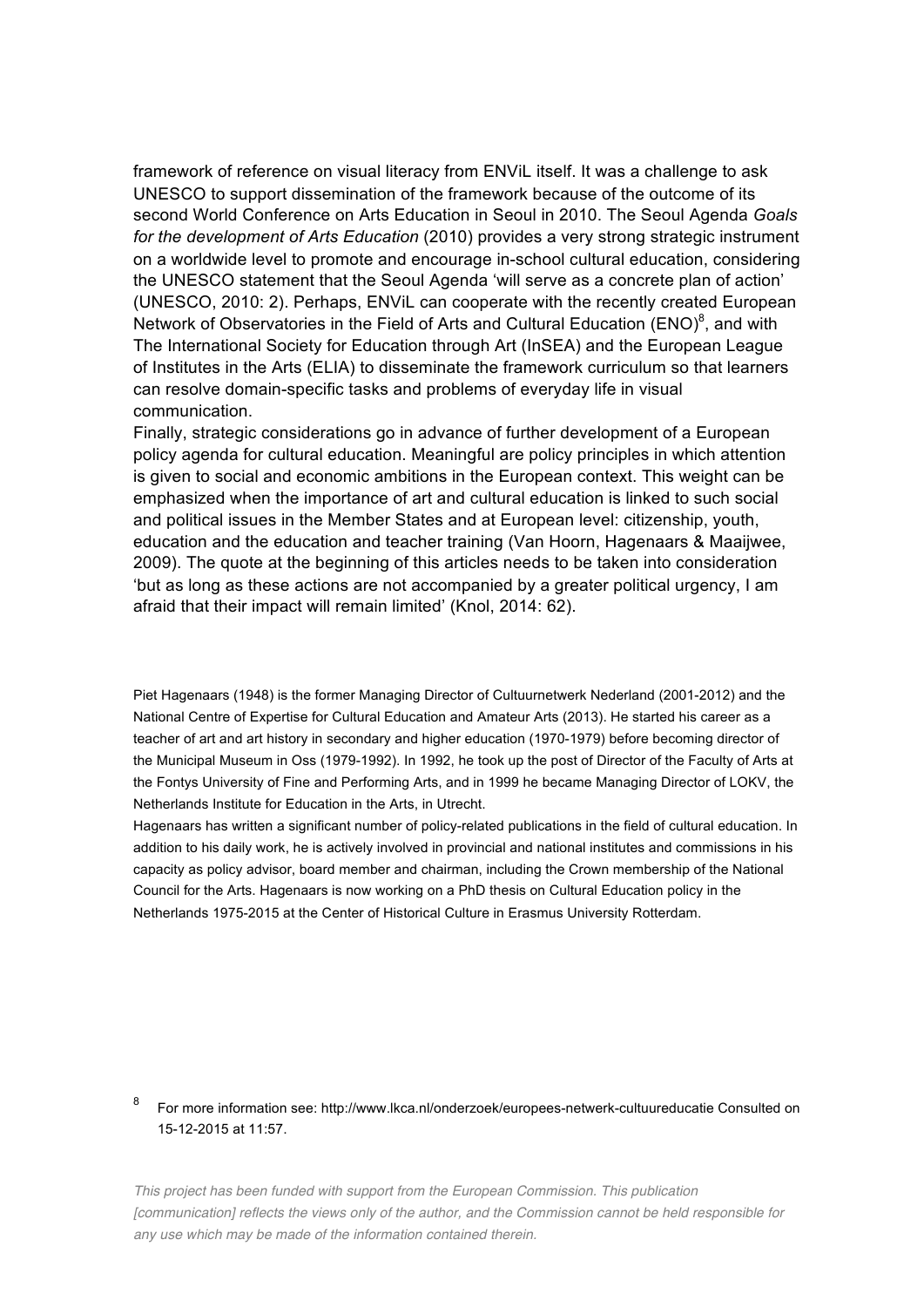framework of reference on visual literacy from ENViL itself. It was a challenge to ask UNESCO to support dissemination of the framework because of the outcome of its second World Conference on Arts Education in Seoul in 2010. The Seoul Agenda *Goals for the development of Arts Education* (2010) provides a very strong strategic instrument on a worldwide level to promote and encourage in-school cultural education, considering the UNESCO statement that the Seoul Agenda 'will serve as a concrete plan of action' (UNESCO, 2010: 2). Perhaps, ENViL can cooperate with the recently created European Network of Observatories in the Field of Arts and Cultural Education (ENO) $^8$ , and with The International Society for Education through Art (InSEA) and the European League of Institutes in the Arts (ELIA) to disseminate the framework curriculum so that learners can resolve domain-specific tasks and problems of everyday life in visual communication.

Finally, strategic considerations go in advance of further development of a European policy agenda for cultural education. Meaningful are policy principles in which attention is given to social and economic ambitions in the European context. This weight can be emphasized when the importance of art and cultural education is linked to such social and political issues in the Member States and at European level: citizenship, youth, education and the education and teacher training (Van Hoorn, Hagenaars & Maaijwee, 2009). The quote at the beginning of this articles needs to be taken into consideration 'but as long as these actions are not accompanied by a greater political urgency, I am afraid that their impact will remain limited' (Knol, 2014: 62).

Piet Hagenaars (1948) is the former Managing Director of Cultuurnetwerk Nederland (2001-2012) and the National Centre of Expertise for Cultural Education and Amateur Arts (2013). He started his career as a teacher of art and art history in secondary and higher education (1970-1979) before becoming director of the Municipal Museum in Oss (1979-1992). In 1992, he took up the post of Director of the Faculty of Arts at the Fontys University of Fine and Performing Arts, and in 1999 he became Managing Director of LOKV, the Netherlands Institute for Education in the Arts, in Utrecht.

Hagenaars has written a significant number of policy-related publications in the field of cultural education. In addition to his daily work, he is actively involved in provincial and national institutes and commissions in his capacity as policy advisor, board member and chairman, including the Crown membership of the National Council for the Arts. Hagenaars is now working on a PhD thesis on Cultural Education policy in the Netherlands 1975-2015 at the Center of Historical Culture in Erasmus University Rotterdam.

#### <sup>8</sup> For more information see: http://www.lkca.nl/onderzoek/europees-netwerk-cultuureducatie Consulted on 15-12-2015 at 11:57.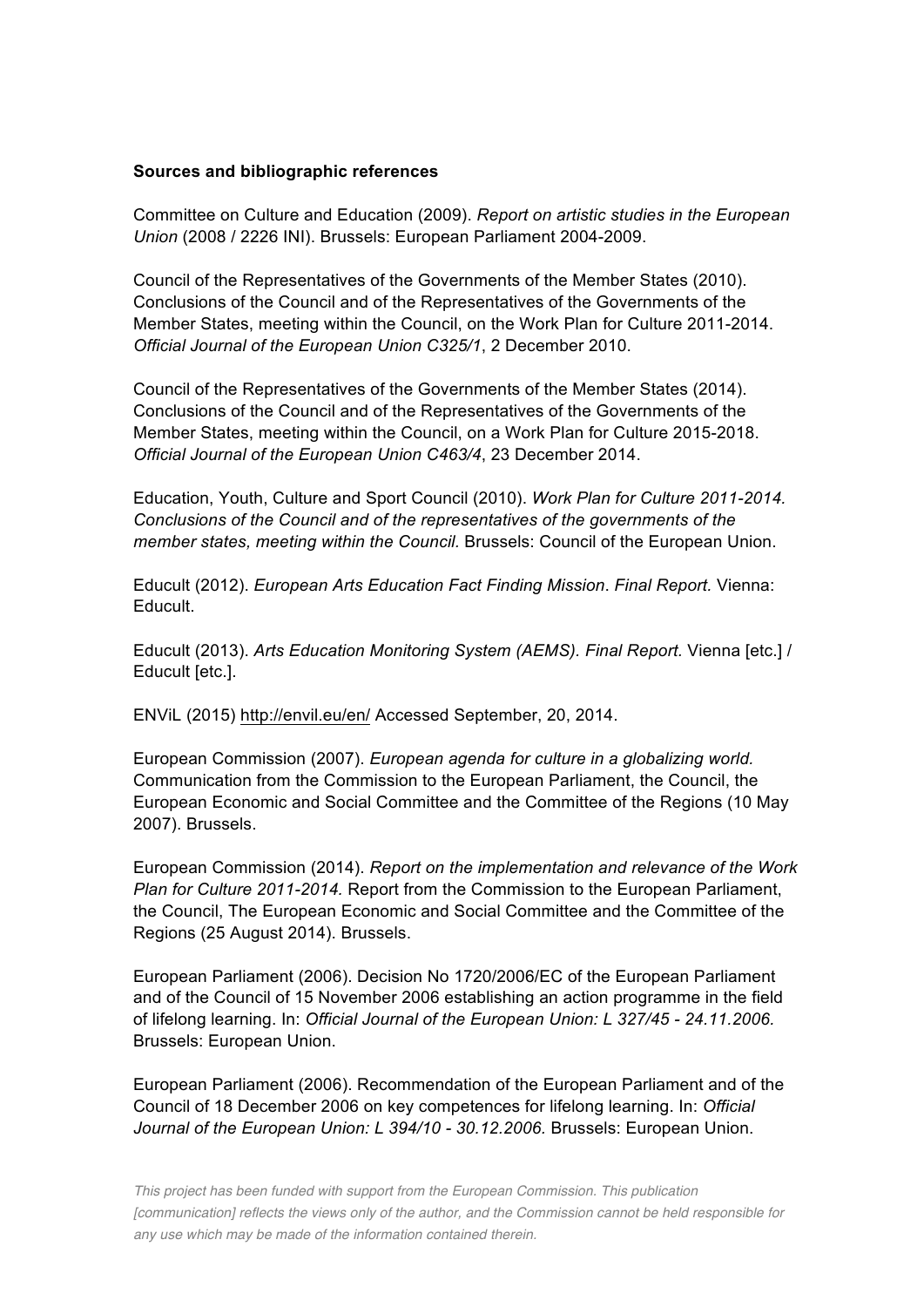#### **Sources and bibliographic references**

Committee on Culture and Education (2009). *Report on artistic studies in the European Union* (2008 / 2226 INI). Brussels: European Parliament 2004-2009.

Council of the Representatives of the Governments of the Member States (2010). Conclusions of the Council and of the Representatives of the Governments of the Member States, meeting within the Council, on the Work Plan for Culture 2011-2014. *Official Journal of the European Union C325/1*, 2 December 2010.

Council of the Representatives of the Governments of the Member States (2014). Conclusions of the Council and of the Representatives of the Governments of the Member States, meeting within the Council, on a Work Plan for Culture 2015-2018. *Official Journal of the European Union C463/4*, 23 December 2014.

Education, Youth, Culture and Sport Council (2010). *Work Plan for Culture 2011-2014. Conclusions of the Council and of the representatives of the governments of the member states, meeting within the Council.* Brussels: Council of the European Union.

Educult (2012). *European Arts Education Fact Finding Mission*. *Final Report.* Vienna: Educult.

Educult (2013). *Arts Education Monitoring System (AEMS). Final Report.* Vienna [etc.] / Educult [etc.].

ENViL (2015)<http://envil.eu/en/> Accessed September, 20, 2014.

European Commission (2007). *European agenda for culture in a globalizing world.* Communication from the Commission to the European Parliament, the Council, the European Economic and Social Committee and the Committee of the Regions (10 May 2007). Brussels.

European Commission (2014). *Report on the implementation and relevance of the Work Plan for Culture 2011-2014.* Report from the Commission to the European Parliament, the Council, The European Economic and Social Committee and the Committee of the Regions (25 August 2014). Brussels.

European Parliament (2006). Decision No 1720/2006/EC of the European Parliament and of the Council of 15 November 2006 establishing an action programme in the field of lifelong learning. In: *Official Journal of the European Union: L 327/45 - 24.11.2006.* Brussels: European Union.

European Parliament (2006). Recommendation of the European Parliament and of the Council of 18 December 2006 on key competences for lifelong learning. In: *Official Journal of the European Union: L 394/10 - 30.12.2006.* Brussels: European Union.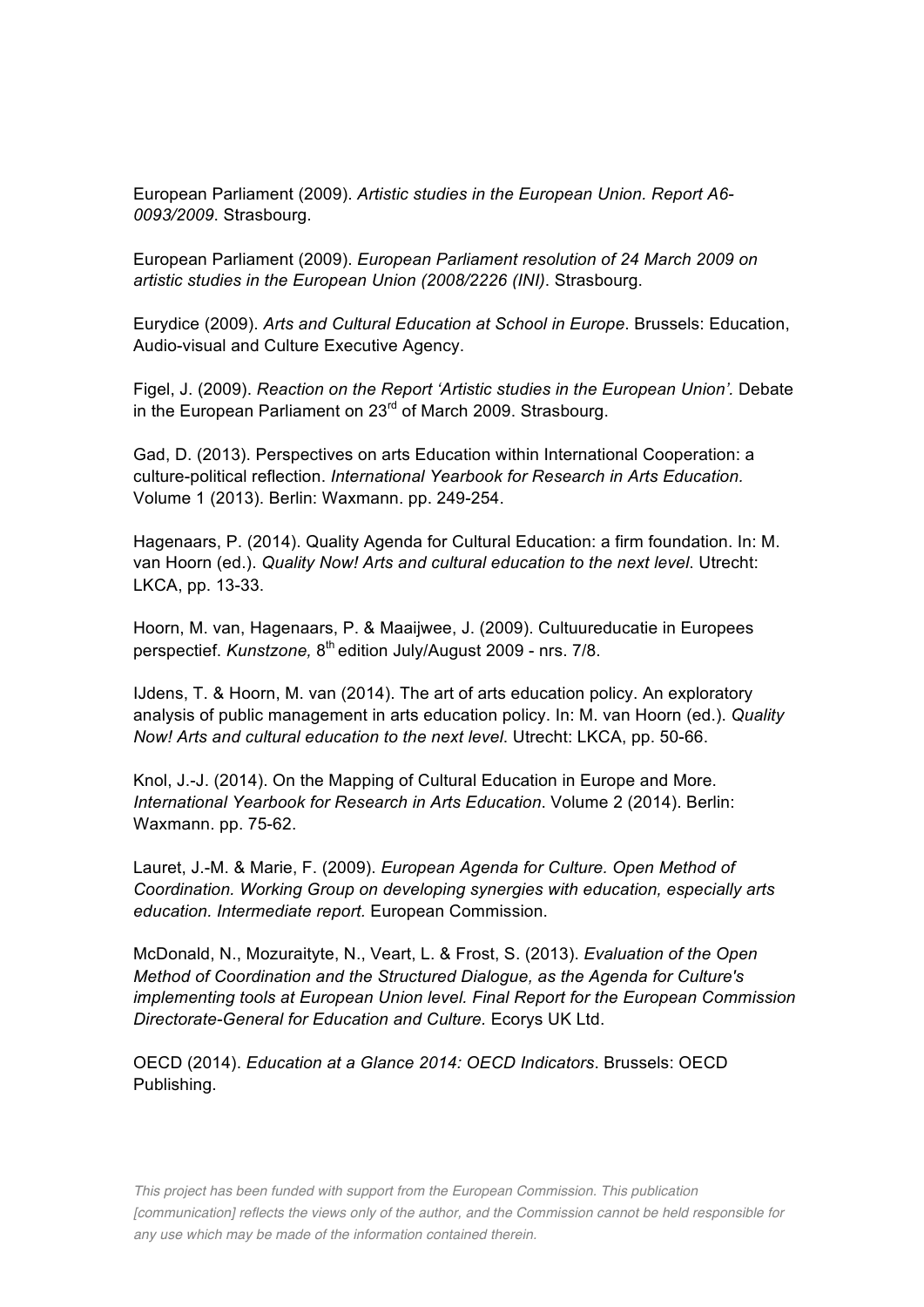European Parliament (2009). *Artistic studies in the European Union. Report A6- 0093/2009*. Strasbourg.

European Parliament (2009). *European Parliament resolution of 24 March 2009 on artistic studies in the European Union (2008/2226 (INI)*. Strasbourg.

Eurydice (2009). *Arts and Cultural Education at School in Europe*. Brussels: Education, Audio-visual and Culture Executive Agency.

Figel, J. (2009). *Reaction on the Report 'Artistic studies in the European Union'.* Debate in the European Parliament on 23<sup>rd</sup> of March 2009. Strasbourg.

Gad, D. (2013). Perspectives on arts Education within International Cooperation: a culture-political reflection. *International Yearbook for Research in Arts Education.* Volume 1 (2013). Berlin: Waxmann. pp. 249-254.

Hagenaars, P. (2014). Quality Agenda for Cultural Education: a firm foundation. In: M. van Hoorn (ed.). *Quality Now! Arts and cultural education to the next level*. Utrecht: LKCA, pp. 13-33.

Hoorn, M. van, Hagenaars, P. & Maaijwee, J. (2009). Cultuureducatie in Europees perspectief. *Kunstzone,* 8<sup>th</sup> edition July/August 2009 - nrs. 7/8.

IJdens, T. & Hoorn, M. van (2014). The art of arts education policy. An exploratory analysis of public management in arts education policy. In: M. van Hoorn (ed.). *Quality Now! Arts and cultural education to the next level*. Utrecht: LKCA, pp. 50-66.

Knol, J.-J. (2014). On the Mapping of Cultural Education in Europe and More. *International Yearbook for Research in Arts Education*. Volume 2 (2014). Berlin: Waxmann. pp. 75-62.

Lauret, J.-M. & Marie, F. (2009). *European Agenda for Culture. Open Method of Coordination. Working Group on developing synergies with education, especially arts education. Intermediate report.* European Commission.

McDonald, N., Mozuraityte, N., Veart, L. & Frost, S. (2013). *Evaluation of the Open Method of Coordination and the Structured Dialogue, as the Agenda for Culture's implementing tools at European Union level. Final Report for the European Commission Directorate-General for Education and Culture.* Ecorys UK Ltd.

OECD (2014). *Education at a Glance 2014: OECD Indicators*. Brussels: OECD Publishing.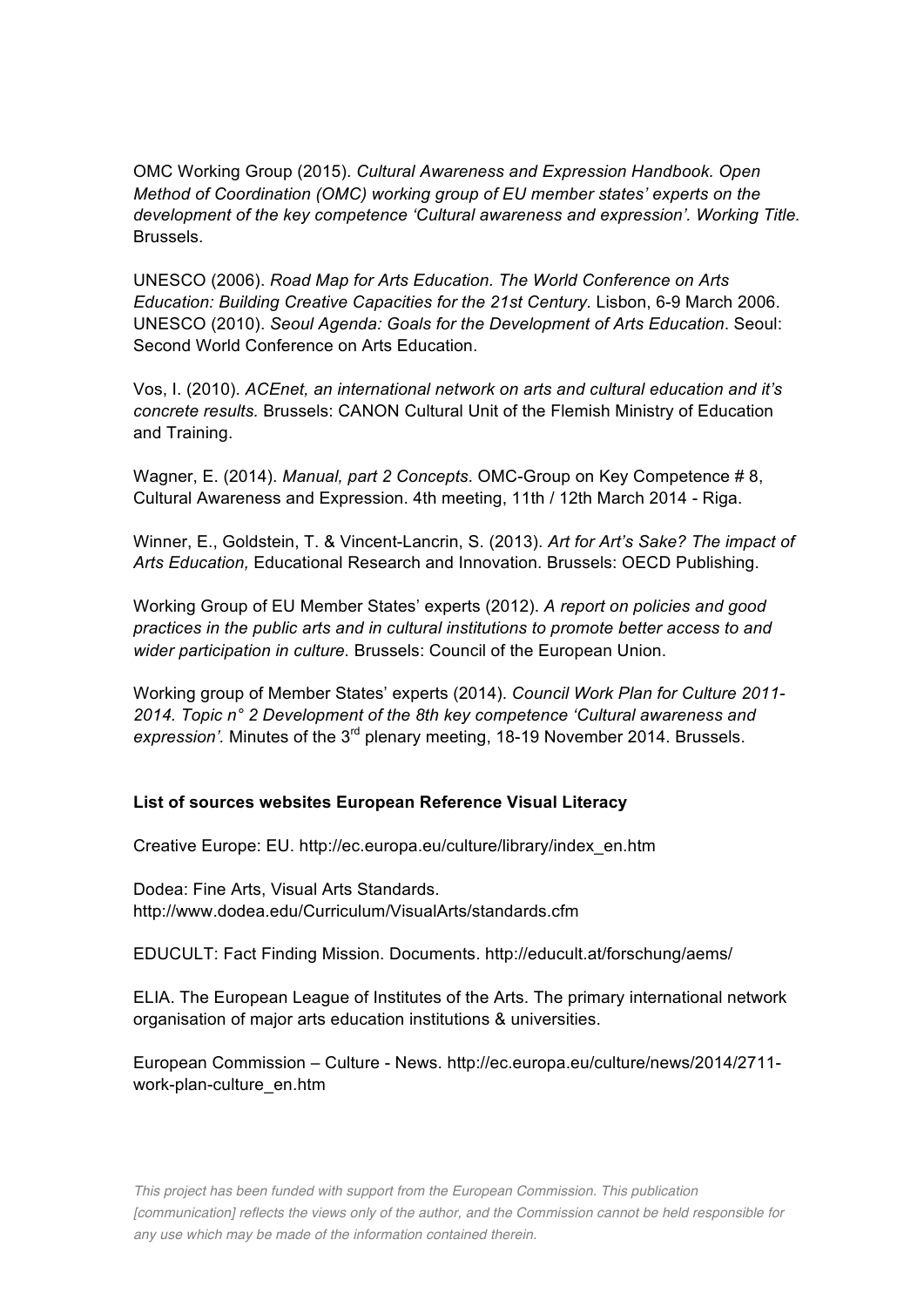OMC Working Group (2015). *Cultural Awareness and Expression Handbook. Open Method of Coordination (OMC) working group of EU member states' experts on the development of the key competence 'Cultural awareness and expression'. Working Title.* Brussels.

UNESCO (2006). *Road Map for Arts Education. The World Conference on Arts Education: Building Creative Capacities for the 21st Century.* Lisbon, 6-9 March 2006. UNESCO (2010). *Seoul Agenda: Goals for the Development of Arts Education*. Seoul: Second World Conference on Arts Education.

Vos, I. (2010). *ACEnet, an international network on arts and cultural education and it's concrete results.* Brussels: CANON Cultural Unit of the Flemish Ministry of Education and Training.

Wagner, E. (2014). *Manual, part 2 Concepts*. OMC-Group on Key Competence # 8, Cultural Awareness and Expression. 4th meeting, 11th / 12th March 2014 - Riga.

Winner, E., Goldstein, T. & Vincent-Lancrin, S. (2013). *Art for Art's Sake? The impact of Arts Education,* Educational Research and Innovation. Brussels: OECD Publishing.

Working Group of EU Member States' experts (2012). *A report on policies and good practices in the public arts and in cultural institutions to promote better access to and wider participation in culture.* Brussels: Council of the European Union.

Working group of Member States' experts (2014). *Council Work Plan for Culture 2011- 2014. Topic n° 2 Development of the 8th key competence 'Cultural awareness and expression'.* Minutes of the 3rd plenary meeting, 18-19 November 2014. Brussels.

#### **List of sources websites European Reference Visual Literacy**

Creative Europe: EU. [http://ec.europa.eu/culture/library/index\\_en.htm](http://ec.europa.eu/culture/library/index_en.htm)

Dodea: Fine Arts, Visual Arts Standards. <http://www.dodea.edu/Curriculum/VisualArts/standards.cfm>

EDUCULT: Fact Finding Mission. Documents.<http://educult.at/forschung/aems/>

ELIA. The European League of Institutes of the Arts. The primary international network organisation of major arts education institutions & universities.

European Commission – Culture - News. [http://ec.europa.eu/culture/news/2014/2711](http://ec.europa.eu/culture/news/2014/2711-work-plan-culture_en.htm) [work-plan-culture\\_en.htm](http://ec.europa.eu/culture/news/2014/2711-work-plan-culture_en.htm)